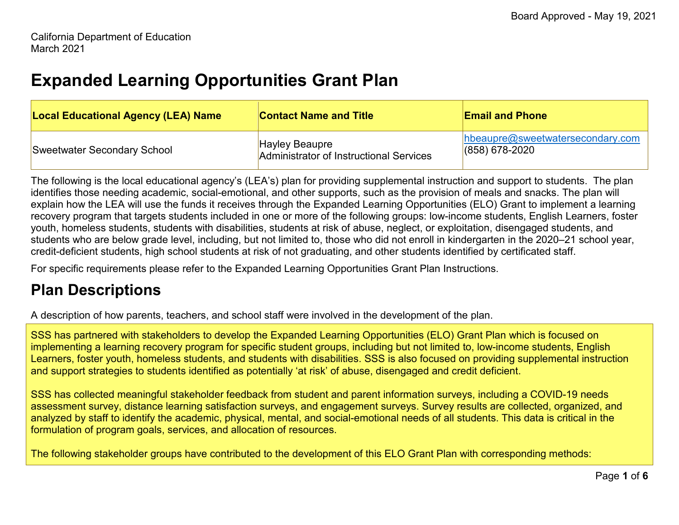## **Expanded Learning Opportunities Grant Plan**

| <b>Local Educational Agency (LEA) Name</b> | <b>Contact Name and Title</b>                                    | <b>Email and Phone</b>                                      |
|--------------------------------------------|------------------------------------------------------------------|-------------------------------------------------------------|
| Sweetwater Secondary School                | <b>Hayley Beaupre</b><br>Administrator of Instructional Services | $h$ beaupre $@s$ weetwatersecondary.com<br>$(858)$ 678-2020 |

The following is the local educational agency's (LEA's) plan for providing supplemental instruction and support to students. The plan identifies those needing academic, social-emotional, and other supports, such as the provision of meals and snacks. The plan will explain how the LEA will use the funds it receives through the Expanded Learning Opportunities (ELO) Grant to implement a learning recovery program that targets students included in one or more of the following groups: low-income students, English Learners, foster youth, homeless students, students with disabilities, students at risk of abuse, neglect, or exploitation, disengaged students, and students who are below grade level, including, but not limited to, those who did not enroll in kindergarten in the 2020–21 school year, credit-deficient students, high school students at risk of not graduating, and other students identified by certificated staff.

For specific requirements please refer to the Expanded Learning Opportunities Grant Plan Instructions.

## **Plan Descriptions**

A description of how parents, teachers, and school staff were involved in the development of the plan.

SSS has partnered with stakeholders to develop the Expanded Learning Opportunities (ELO) Grant Plan which is focused on implementing a learning recovery program for specific student groups, including but not limited to, low-income students, English Learners, foster youth, homeless students, and students with disabilities. SSS is also focused on providing supplemental instruction and support strategies to students identified as potentially 'at risk' of abuse, disengaged and credit deficient.

SSS has collected meaningful stakeholder feedback from student and parent information surveys, including a COVID-19 needs assessment survey, distance learning satisfaction surveys, and engagement surveys. Survey results are collected, organized, and analyzed by staff to identify the academic, physical, mental, and social-emotional needs of all students. This data is critical in the formulation of program goals, services, and allocation of resources.

The following stakeholder groups have contributed to the development of this ELO Grant Plan with corresponding methods: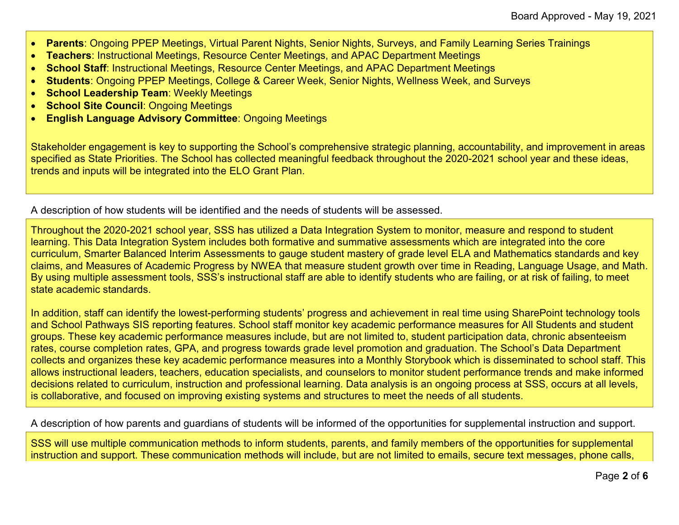- **Parents**: Ongoing PPEP Meetings, Virtual Parent Nights, Senior Nights, Surveys, and Family Learning Series Trainings
- **Teachers**: Instructional Meetings, Resource Center Meetings, and APAC Department Meetings
- **School Staff**: Instructional Meetings, Resource Center Meetings, and APAC Department Meetings
- **Students**: Ongoing PPEP Meetings, College & Career Week, Senior Nights, Wellness Week, and Surveys
- **School Leadership Team**: Weekly Meetings
- **School Site Council**: Ongoing Meetings
- **English Language Advisory Committee**: Ongoing Meetings

Stakeholder engagement is key to supporting the School's comprehensive strategic planning, accountability, and improvement in areas specified as State Priorities. The School has collected meaningful feedback throughout the 2020-2021 school year and these ideas, trends and inputs will be integrated into the ELO Grant Plan.

A description of how students will be identified and the needs of students will be assessed.

Throughout the 2020-2021 school year, SSS has utilized a Data Integration System to monitor, measure and respond to student learning. This Data Integration System includes both formative and summative assessments which are integrated into the core curriculum, Smarter Balanced Interim Assessments to gauge student mastery of grade level ELA and Mathematics standards and key claims, and Measures of Academic Progress by NWEA that measure student growth over time in Reading, Language Usage, and Math. By using multiple assessment tools, SSS's instructional staff are able to identify students who are failing, or at risk of failing, to meet state academic standards.

In addition, staff can identify the lowest-performing students' progress and achievement in real time using SharePoint technology tools and School Pathways SIS reporting features. School staff monitor key academic performance measures for All Students and student groups. These key academic performance measures include, but are not limited to, student participation data, chronic absenteeism rates, course completion rates, GPA, and progress towards grade level promotion and graduation. The School's Data Department collects and organizes these key academic performance measures into a Monthly Storybook which is disseminated to school staff. This allows instructional leaders, teachers, education specialists, and counselors to monitor student performance trends and make informed decisions related to curriculum, instruction and professional learning. Data analysis is an ongoing process at SSS, occurs at all levels, is collaborative, and focused on improving existing systems and structures to meet the needs of all students.

A description of how parents and guardians of students will be informed of the opportunities for supplemental instruction and support.

SSS will use multiple communication methods to inform students, parents, and family members of the opportunities for supplemental instruction and support. These communication methods will include, but are not limited to emails, secure text messages, phone calls,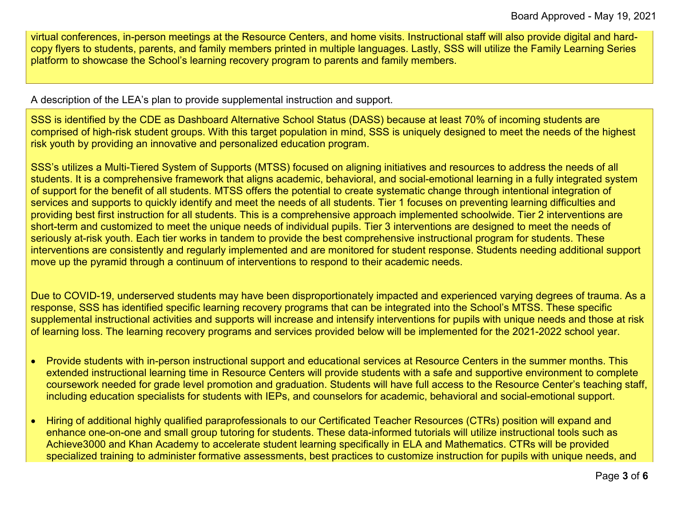virtual conferences, in-person meetings at the Resource Centers, and home visits. Instructional staff will also provide digital and hardcopy flyers to students, parents, and family members printed in multiple languages. Lastly, SSS will utilize the Family Learning Series platform to showcase the School's learning recovery program to parents and family members.

A description of the LEA's plan to provide supplemental instruction and support.

SSS is identified by the CDE as Dashboard Alternative School Status (DASS) because at least 70% of incoming students are comprised of high-risk student groups. With this target population in mind, SSS is uniquely designed to meet the needs of the highest risk youth by providing an innovative and personalized education program.

SSS's utilizes a Multi-Tiered System of Supports (MTSS) focused on aligning initiatives and resources to address the needs of all students. It is a comprehensive framework that aligns academic, behavioral, and social-emotional learning in a fully integrated system of support for the benefit of all students. MTSS offers the potential to create systematic change through intentional integration of services and supports to quickly identify and meet the needs of all students. Tier 1 focuses on preventing learning difficulties and providing best first instruction for all students. This is a comprehensive approach implemented schoolwide. Tier 2 interventions are short-term and customized to meet the unique needs of individual pupils. Tier 3 interventions are designed to meet the needs of seriously at-risk youth. Each tier works in tandem to provide the best comprehensive instructional program for students. These interventions are consistently and regularly implemented and are monitored for student response. Students needing additional support move up the pyramid through a continuum of interventions to respond to their academic needs.

Due to COVID-19, underserved students may have been disproportionately impacted and experienced varying degrees of trauma. As a response, SSS has identified specific learning recovery programs that can be integrated into the School's MTSS. These specific supplemental instructional activities and supports will increase and intensify interventions for pupils with unique needs and those at risk of learning loss. The learning recovery programs and services provided below will be implemented for the 2021-2022 school year.

- Provide students with in-person instructional support and educational services at Resource Centers in the summer months. This extended instructional learning time in Resource Centers will provide students with a safe and supportive environment to complete coursework needed for grade level promotion and graduation. Students will have full access to the Resource Center's teaching staff, including education specialists for students with IEPs, and counselors for academic, behavioral and social-emotional support.
- Hiring of additional highly qualified paraprofessionals to our Certificated Teacher Resources (CTRs) position will expand and enhance one-on-one and small group tutoring for students. These data-informed tutorials will utilize instructional tools such as Achieve3000 and Khan Academy to accelerate student learning specifically in ELA and Mathematics. CTRs will be provided specialized training to administer formative assessments, best practices to customize instruction for pupils with unique needs, and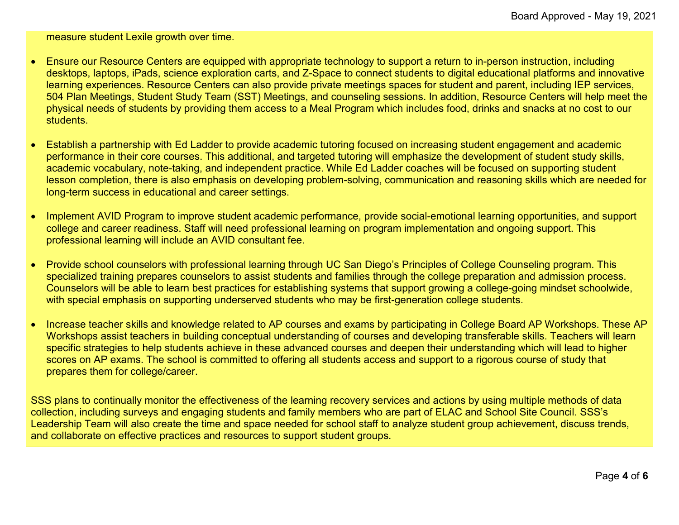measure student Lexile growth over time.

- Ensure our Resource Centers are equipped with appropriate technology to support a return to in-person instruction, including desktops, laptops, iPads, science exploration carts, and Z-Space to connect students to digital educational platforms and innovative learning experiences. Resource Centers can also provide private meetings spaces for student and parent, including IEP services, 504 Plan Meetings, Student Study Team (SST) Meetings, and counseling sessions. In addition, Resource Centers will help meet the physical needs of students by providing them access to a Meal Program which includes food, drinks and snacks at no cost to our students.
- Establish a partnership with Ed Ladder to provide academic tutoring focused on increasing student engagement and academic performance in their core courses. This additional, and targeted tutoring will emphasize the development of student study skills, academic vocabulary, note-taking, and independent practice. While Ed Ladder coaches will be focused on supporting student lesson completion, there is also emphasis on developing problem-solving, communication and reasoning skills which are needed for long-term success in educational and career settings.
- Implement AVID Program to improve student academic performance, provide social-emotional learning opportunities, and support college and career readiness. Staff will need professional learning on program implementation and ongoing support. This professional learning will include an AVID consultant fee.
- Provide school counselors with professional learning through UC San Diego's Principles of College Counseling program. This specialized training prepares counselors to assist students and families through the college preparation and admission process. Counselors will be able to learn best practices for establishing systems that support growing a college-going mindset schoolwide, with special emphasis on supporting underserved students who may be first-generation college students.
- Increase teacher skills and knowledge related to AP courses and exams by participating in College Board AP Workshops. These AP Workshops assist teachers in building conceptual understanding of courses and developing transferable skills. Teachers will learn specific strategies to help students achieve in these advanced courses and deepen their understanding which will lead to higher scores on AP exams. The school is committed to offering all students access and support to a rigorous course of study that prepares them for college/career.

SSS plans to continually monitor the effectiveness of the learning recovery services and actions by using multiple methods of data collection, including surveys and engaging students and family members who are part of ELAC and School Site Council. SSS's Leadership Team will also create the time and space needed for school staff to analyze student group achievement, discuss trends, and collaborate on effective practices and resources to support student groups.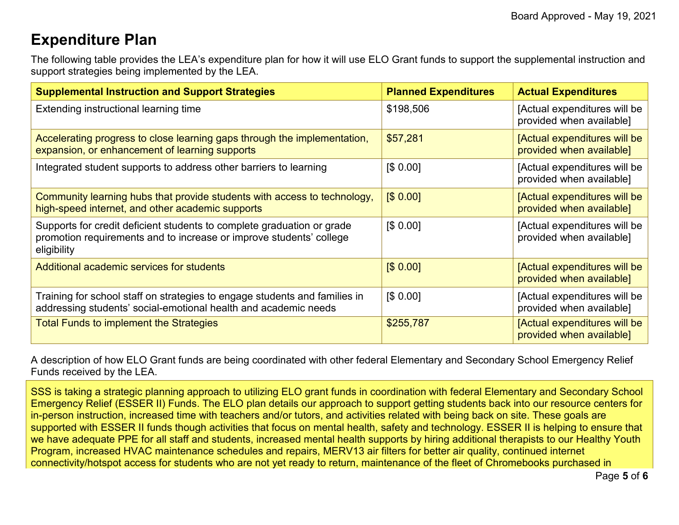## **Expenditure Plan**

The following table provides the LEA's expenditure plan for how it will use ELO Grant funds to support the supplemental instruction and support strategies being implemented by the LEA.

| <b>Supplemental Instruction and Support Strategies</b>                                                                                                       | <b>Planned Expenditures</b> | <b>Actual Expenditures</b>                               |
|--------------------------------------------------------------------------------------------------------------------------------------------------------------|-----------------------------|----------------------------------------------------------|
| Extending instructional learning time                                                                                                                        | \$198,506                   | [Actual expenditures will be<br>provided when available] |
| Accelerating progress to close learning gaps through the implementation,<br>expansion, or enhancement of learning supports                                   | \$57,281                    | [Actual expenditures will be<br>provided when available] |
| Integrated student supports to address other barriers to learning                                                                                            | [\$0.00]                    | [Actual expenditures will be<br>provided when available] |
| Community learning hubs that provide students with access to technology,<br>high-speed internet, and other academic supports                                 | [\$0.00]                    | [Actual expenditures will be<br>provided when available] |
| Supports for credit deficient students to complete graduation or grade<br>promotion requirements and to increase or improve students' college<br>eligibility | \$0.00]                     | [Actual expenditures will be<br>provided when available] |
| Additional academic services for students                                                                                                                    | [\$0.00]                    | [Actual expenditures will be<br>provided when available] |
| Training for school staff on strategies to engage students and families in<br>addressing students' social-emotional health and academic needs                | \$0.00]                     | [Actual expenditures will be<br>provided when available] |
| <b>Total Funds to implement the Strategies</b>                                                                                                               | \$255,787                   | [Actual expenditures will be<br>provided when available] |

A description of how ELO Grant funds are being coordinated with other federal Elementary and Secondary School Emergency Relief Funds received by the LEA.

SSS is taking a strategic planning approach to utilizing ELO grant funds in coordination with federal Elementary and Secondary School Emergency Relief (ESSER II) Funds. The ELO plan details our approach to support getting students back into our resource centers for in-person instruction, increased time with teachers and/or tutors, and activities related with being back on site. These goals are supported with ESSER II funds though activities that focus on mental health, safety and technology. ESSER II is helping to ensure that we have adequate PPE for all staff and students, increased mental health supports by hiring additional therapists to our Healthy Youth Program, increased HVAC maintenance schedules and repairs, MERV13 air filters for better air quality, continued internet connectivity/hotspot access for students who are not yet ready to return, maintenance of the fleet of Chromebooks purchased in